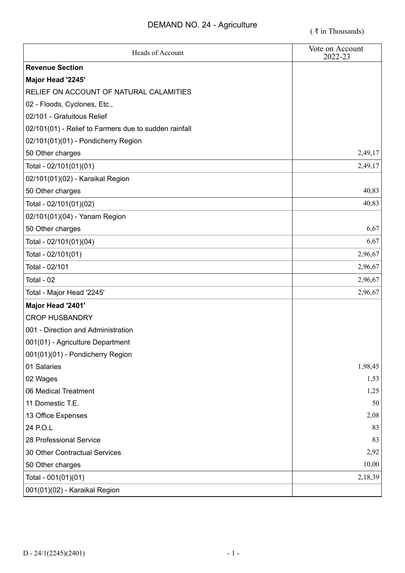| Heads of Account                                      | Vote on Account<br>2022-23 |
|-------------------------------------------------------|----------------------------|
| <b>Revenue Section</b>                                |                            |
| Major Head '2245'                                     |                            |
| RELIEF ON ACCOUNT OF NATURAL CALAMITIES               |                            |
| 02 - Floods, Cyclones, Etc.,                          |                            |
| 02/101 - Gratuitous Relief                            |                            |
| 02/101(01) - Relief to Farmers due to sudden rainfall |                            |
| 02/101(01)(01) - Pondicherry Region                   |                            |
| 50 Other charges                                      | 2,49,17                    |
| Total - 02/101(01)(01)                                | 2,49,17                    |
| 02/101(01)(02) - Karaikal Region                      |                            |
| 50 Other charges                                      | 40,83                      |
| Total - 02/101(01)(02)                                | 40,83                      |
| 02/101(01)(04) - Yanam Region                         |                            |
| 50 Other charges                                      | 6,67                       |
| Total - 02/101(01)(04)                                | 6,67                       |
| Total - 02/101(01)                                    | 2,96,67                    |
| Total - 02/101                                        | 2,96,67                    |
| Total - 02                                            | 2,96,67                    |
| Total - Major Head '2245'                             | 2,96,67                    |
| Major Head '2401'                                     |                            |
| <b>CROP HUSBANDRY</b>                                 |                            |
| 001 - Direction and Administration                    |                            |
| 001(01) - Agriculture Department                      |                            |
| 001(01)(01) - Pondicherry Region                      |                            |
| 01 Salaries                                           | 1,98,45                    |
| 02 Wages                                              | 1,53                       |
| 06 Medical Treatment                                  | 1,25                       |
| 11 Domestic T.E.                                      | 50                         |
| 13 Office Expenses                                    | 2,08                       |
| 24 P.O.L                                              | 83                         |
| 28 Professional Service                               | 83                         |
| 30 Other Contractual Services                         | 2,92                       |
| 50 Other charges                                      | 10,00                      |
| Total - 001(01)(01)                                   | 2,18,39                    |
| 001(01)(02) - Karaikal Region                         |                            |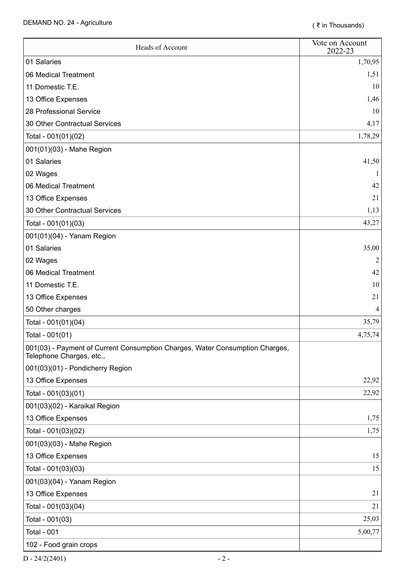| Heads of Account                                                                                         | Vote on Account<br>2022-23 |
|----------------------------------------------------------------------------------------------------------|----------------------------|
| 01 Salaries                                                                                              | 1,70,95                    |
| 06 Medical Treatment                                                                                     | 1,51                       |
| 11 Domestic T.E.                                                                                         | 10                         |
| 13 Office Expenses                                                                                       | 1,46                       |
| 28 Professional Service                                                                                  | 10                         |
| 30 Other Contractual Services                                                                            | 4,17                       |
| Total - 001(01)(02)                                                                                      | 1,78,29                    |
| 001(01)(03) - Mahe Region                                                                                |                            |
| 01 Salaries                                                                                              | 41,50                      |
| 02 Wages                                                                                                 |                            |
| 06 Medical Treatment                                                                                     | 42                         |
| 13 Office Expenses                                                                                       | 21                         |
| 30 Other Contractual Services                                                                            | 1,13                       |
| Total - 001(01)(03)                                                                                      | 43,27                      |
| 001(01)(04) - Yanam Region                                                                               |                            |
| 01 Salaries                                                                                              | 35,00                      |
| 02 Wages                                                                                                 | $\overline{2}$             |
| 06 Medical Treatment                                                                                     | 42                         |
| 11 Domestic T.E.                                                                                         | 10                         |
| 13 Office Expenses                                                                                       | 21                         |
| 50 Other charges                                                                                         | 4                          |
| Total - 001(01)(04)                                                                                      | 35,79                      |
| Total - 001(01)                                                                                          | 4,75,74                    |
| 001(03) - Payment of Current Consumption Charges, Water Consumption Charges,<br>Telephone Charges, etc., |                            |
| 001(03)(01) - Pondicherry Region                                                                         |                            |
| 13 Office Expenses                                                                                       | 22,92                      |
| Total - 001(03)(01)                                                                                      | 22,92                      |
| 001(03)(02) - Karaikal Region                                                                            |                            |
| 13 Office Expenses                                                                                       | 1,75                       |
| Total - 001(03)(02)                                                                                      | 1,75                       |
| 001(03)(03) - Mahe Region                                                                                |                            |
| 13 Office Expenses                                                                                       | 15                         |
| Total - 001(03)(03)                                                                                      | 15                         |
| 001(03)(04) - Yanam Region                                                                               |                            |
| 13 Office Expenses                                                                                       | 21                         |
| Total - 001(03)(04)                                                                                      | 21                         |
| Total - 001(03)                                                                                          | 25,03                      |
| <b>Total - 001</b>                                                                                       | 5,00,77                    |
| 102 - Food grain crops                                                                                   |                            |

 $D - 24/2(2401)$  - 2 -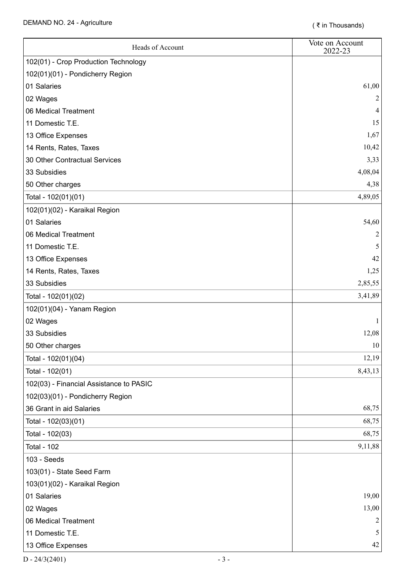| Heads of Account                        | Vote on Account<br>2022-23 |
|-----------------------------------------|----------------------------|
| 102(01) - Crop Production Technology    |                            |
| 102(01)(01) - Pondicherry Region        |                            |
| 01 Salaries                             | 61,00                      |
| 02 Wages                                |                            |
| 06 Medical Treatment                    |                            |
| 11 Domestic T.E.                        | 15                         |
| 13 Office Expenses                      | 1,67                       |
| 14 Rents, Rates, Taxes                  | 10,42                      |
| 30 Other Contractual Services           | 3,33                       |
| 33 Subsidies                            | 4,08,04                    |
| 50 Other charges                        | 4,38                       |
| Total - 102(01)(01)                     | 4,89,05                    |
| 102(01)(02) - Karaikal Region           |                            |
| 01 Salaries                             | 54,60                      |
| 06 Medical Treatment                    | 2                          |
| 11 Domestic T.E.                        |                            |
| 13 Office Expenses                      | 42                         |
| 14 Rents, Rates, Taxes                  | 1,25                       |
| 33 Subsidies                            | 2,85,55                    |
| Total - 102(01)(02)                     | 3,41,89                    |
| 102(01)(04) - Yanam Region              |                            |
| 02 Wages                                |                            |
| 33 Subsidies                            | 12,08                      |
| 50 Other charges                        | $10\,$                     |
| Total - 102(01)(04)                     | 12,19                      |
| Total - 102(01)                         | 8,43,13                    |
| 102(03) - Financial Assistance to PASIC |                            |
| 102(03)(01) - Pondicherry Region        |                            |
| 36 Grant in aid Salaries                | 68,75                      |
| Total - 102(03)(01)                     | 68,75                      |
| Total - 102(03)                         | 68,75                      |
| <b>Total - 102</b>                      | 9,11,88                    |
| 103 - Seeds                             |                            |
| 103(01) - State Seed Farm               |                            |
| 103(01)(02) - Karaikal Region           |                            |
| 01 Salaries                             | 19,00                      |
| 02 Wages                                | 13,00                      |
| 06 Medical Treatment                    |                            |
| 11 Domestic T.E.                        | 5                          |
| 13 Office Expenses                      | 42                         |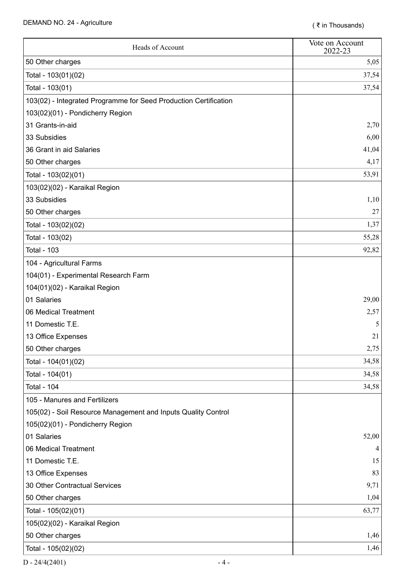| Heads of Account                                                 | Vote on Account<br>2022-23 |
|------------------------------------------------------------------|----------------------------|
| 50 Other charges                                                 | 5,05                       |
| Total - 103(01)(02)                                              | 37,54                      |
| Total - 103(01)                                                  | 37,54                      |
| 103(02) - Integrated Programme for Seed Production Certification |                            |
| 103(02)(01) - Pondicherry Region                                 |                            |
| 31 Grants-in-aid                                                 | 2,70                       |
| 33 Subsidies                                                     | 6,00                       |
| 36 Grant in aid Salaries                                         | 41,04                      |
| 50 Other charges                                                 | 4,17                       |
| Total - 103(02)(01)                                              | 53,91                      |
| 103(02)(02) - Karaikal Region                                    |                            |
| 33 Subsidies                                                     | 1,10                       |
| 50 Other charges                                                 | 27                         |
| Total - 103(02)(02)                                              | 1,37                       |
| Total - 103(02)                                                  | 55,28                      |
| <b>Total - 103</b>                                               | 92,82                      |
| 104 - Agricultural Farms                                         |                            |
| 104(01) - Experimental Research Farm                             |                            |
| 104(01)(02) - Karaikal Region                                    |                            |
| 01 Salaries                                                      | 29,00                      |
| 06 Medical Treatment                                             | 2,57                       |
| 11 Domestic T.E.                                                 | 5                          |
| 13 Office Expenses                                               | 21                         |
| 50 Other charges                                                 | 2,75                       |
| Total - 104(01)(02)                                              | 34,58                      |
| Total - 104(01)                                                  | 34,58                      |
| <b>Total - 104</b>                                               | 34,58                      |
| 105 - Manures and Fertilizers                                    |                            |
| 105(02) - Soil Resource Management and Inputs Quality Control    |                            |
| 105(02)(01) - Pondicherry Region                                 |                            |
| 01 Salaries                                                      | 52,00                      |
| 06 Medical Treatment                                             |                            |
| 11 Domestic T.E.                                                 | 15                         |
| 13 Office Expenses                                               | 83                         |
| 30 Other Contractual Services                                    | 9,71                       |
| 50 Other charges                                                 | 1,04                       |
| Total - 105(02)(01)                                              | 63,77                      |
| 105(02)(02) - Karaikal Region                                    |                            |
| 50 Other charges                                                 | 1,46                       |
| Total - 105(02)(02)                                              | 1,46                       |

 $D - 24/4(2401)$  - 4 -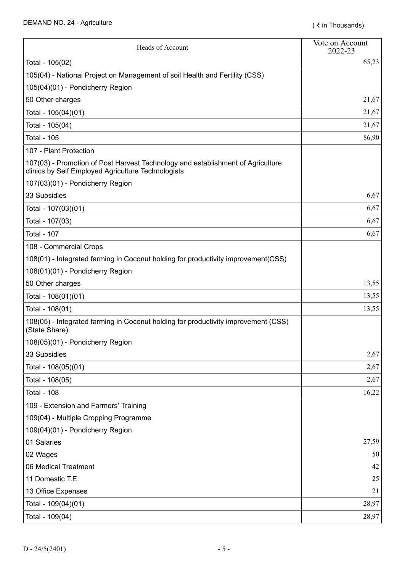| Heads of Account                                                                                                                      | Vote on Account<br>2022-23 |
|---------------------------------------------------------------------------------------------------------------------------------------|----------------------------|
| Total - 105(02)                                                                                                                       | 65,23                      |
| 105(04) - National Project on Management of soil Health and Fertility (CSS)                                                           |                            |
| 105(04)(01) - Pondicherry Region                                                                                                      |                            |
| 50 Other charges                                                                                                                      | 21,67                      |
| Total - 105(04)(01)                                                                                                                   | 21,67                      |
| Total - 105(04)                                                                                                                       | 21,67                      |
| <b>Total - 105</b>                                                                                                                    | 86,90                      |
| 107 - Plant Protection                                                                                                                |                            |
| 107(03) - Promotion of Post Harvest Technology and establishment of Agriculture<br>clinics by Self Employed Agriculture Technologists |                            |
| 107(03)(01) - Pondicherry Region                                                                                                      |                            |
| 33 Subsidies                                                                                                                          | 6,67                       |
| Total - 107(03)(01)                                                                                                                   | 6,67                       |
| Total - 107(03)                                                                                                                       | 6,67                       |
| <b>Total - 107</b>                                                                                                                    | 6,67                       |
| 108 - Commercial Crops                                                                                                                |                            |
| 108(01) - Integrated farming in Coconut holding for productivity improvement(CSS)                                                     |                            |
| 108(01)(01) - Pondicherry Region                                                                                                      |                            |
| 50 Other charges                                                                                                                      | 13,55                      |
| Total - 108(01)(01)                                                                                                                   | 13,55                      |
| Total - 108(01)                                                                                                                       | 13,55                      |
| 108(05) - Integrated farming in Coconut holding for productivity improvement (CSS)<br>(State Share)                                   |                            |
| 108(05)(01) - Pondicherry Region                                                                                                      |                            |
| 33 Subsidies                                                                                                                          | 2,67                       |
| Total - 108(05)(01)                                                                                                                   | 2,67                       |
| Total - 108(05)                                                                                                                       | 2,67                       |
| <b>Total - 108</b>                                                                                                                    | 16,22                      |
| 109 - Extension and Farmers' Training                                                                                                 |                            |
| 109(04) - Multiple Cropping Programme                                                                                                 |                            |
| 109(04)(01) - Pondicherry Region                                                                                                      |                            |
| 01 Salaries                                                                                                                           | 27,59                      |
| 02 Wages                                                                                                                              | 50                         |
| 06 Medical Treatment                                                                                                                  | 42                         |
| 11 Domestic T.E.                                                                                                                      | 25                         |
| 13 Office Expenses                                                                                                                    | 21                         |
| Total - 109(04)(01)                                                                                                                   | 28,97                      |
| Total - 109(04)                                                                                                                       | 28,97                      |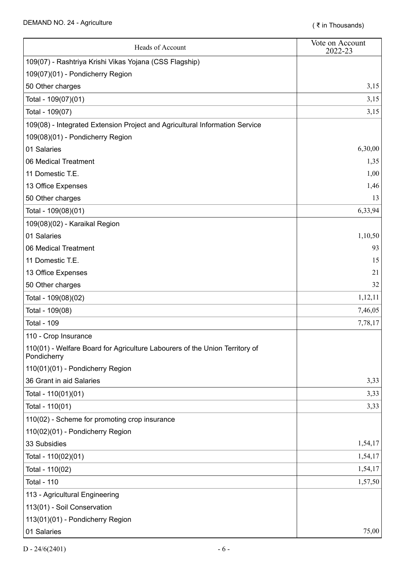| Heads of Account                                                                           | Vote on Account<br>2022-23 |
|--------------------------------------------------------------------------------------------|----------------------------|
| 109(07) - Rashtriya Krishi Vikas Yojana (CSS Flagship)                                     |                            |
| 109(07)(01) - Pondicherry Region                                                           |                            |
| 50 Other charges                                                                           | 3,15                       |
| Total - 109(07)(01)                                                                        | 3,15                       |
| Total - 109(07)                                                                            | 3,15                       |
| 109(08) - Integrated Extension Project and Agricultural Information Service                |                            |
| 109(08)(01) - Pondicherry Region                                                           |                            |
| 01 Salaries                                                                                | 6,30,00                    |
| 06 Medical Treatment                                                                       | 1,35                       |
| 11 Domestic T.E.                                                                           | 1,00                       |
| 13 Office Expenses                                                                         | 1,46                       |
| 50 Other charges                                                                           | 13                         |
| Total - 109(08)(01)                                                                        | 6,33,94                    |
| 109(08)(02) - Karaikal Region                                                              |                            |
| 01 Salaries                                                                                | 1,10,50                    |
| 06 Medical Treatment                                                                       | 93                         |
| 11 Domestic T.E.                                                                           | 15                         |
| 13 Office Expenses                                                                         | 21                         |
| 50 Other charges                                                                           | 32                         |
| Total - 109(08)(02)                                                                        | 1,12,11                    |
| Total - 109(08)                                                                            | 7,46,05                    |
| <b>Total - 109</b>                                                                         | 7,78,17                    |
| 110 - Crop Insurance                                                                       |                            |
| 110(01) - Welfare Board for Agriculture Labourers of the Union Territory of<br>Pondicherry |                            |
| 110(01)(01) - Pondicherry Region                                                           |                            |
| 36 Grant in aid Salaries                                                                   | 3,33                       |
| Total - 110(01)(01)                                                                        | 3,33                       |
| Total - 110(01)                                                                            | 3,33                       |
| 110(02) - Scheme for promoting crop insurance                                              |                            |
| 110(02)(01) - Pondicherry Region                                                           |                            |
| 33 Subsidies                                                                               | 1,54,17                    |
| Total - 110(02)(01)                                                                        | 1,54,17                    |
| Total - 110(02)                                                                            | 1,54,17                    |
| <b>Total - 110</b>                                                                         | 1,57,50                    |
| 113 - Agricultural Engineering                                                             |                            |
| 113(01) - Soil Conservation                                                                |                            |
| 113(01)(01) - Pondicherry Region                                                           |                            |
| 01 Salaries                                                                                | 75,00                      |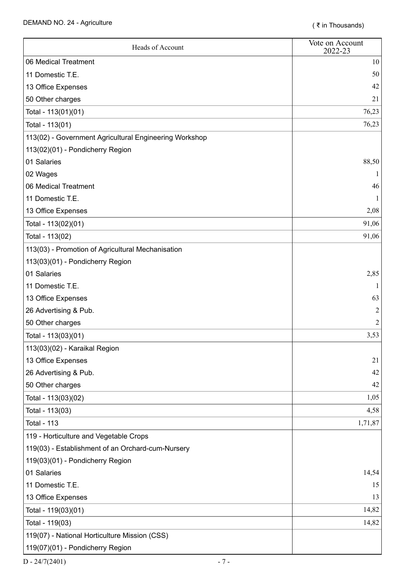| Heads of Account                                       | Vote on Account<br>2022-23 |
|--------------------------------------------------------|----------------------------|
| 06 Medical Treatment                                   | 10                         |
| 11 Domestic T.E.                                       | 50                         |
| 13 Office Expenses                                     | 42                         |
| 50 Other charges                                       | 21                         |
| Total - 113(01)(01)                                    | 76,23                      |
| Total - 113(01)                                        | 76,23                      |
| 113(02) - Government Agricultural Engineering Workshop |                            |
| 113(02)(01) - Pondicherry Region                       |                            |
| 01 Salaries                                            | 88,50                      |
| 02 Wages                                               |                            |
| 06 Medical Treatment                                   | 46                         |
| 11 Domestic T.E.                                       |                            |
| 13 Office Expenses                                     | 2,08                       |
| Total - 113(02)(01)                                    | 91,06                      |
| Total - 113(02)                                        | 91,06                      |
| 113(03) - Promotion of Agricultural Mechanisation      |                            |
| 113(03)(01) - Pondicherry Region                       |                            |
| 01 Salaries                                            | 2,85                       |
| 11 Domestic T.E.                                       |                            |
| 13 Office Expenses                                     | 63                         |
| 26 Advertising & Pub.                                  |                            |
| 50 Other charges                                       |                            |
| Total - 113(03)(01)                                    | 3,53                       |
| 113(03)(02) - Karaikal Region                          |                            |
| 13 Office Expenses                                     | 21                         |
| 26 Advertising & Pub.                                  | 42                         |
| 50 Other charges                                       | 42                         |
| Total - 113(03)(02)                                    | 1,05                       |
| Total - 113(03)                                        | 4,58                       |
| <b>Total - 113</b>                                     | 1,71,87                    |
| 119 - Horticulture and Vegetable Crops                 |                            |
| 119(03) - Establishment of an Orchard-cum-Nursery      |                            |
| 119(03)(01) - Pondicherry Region                       |                            |
| 01 Salaries                                            | 14,54                      |
| 11 Domestic T.E.                                       | 15                         |
| 13 Office Expenses                                     | 13                         |
| Total - 119(03)(01)                                    | 14,82                      |
| Total - 119(03)                                        | 14,82                      |
| 119(07) - National Horticulture Mission (CSS)          |                            |
| 119(07)(01) - Pondicherry Region                       |                            |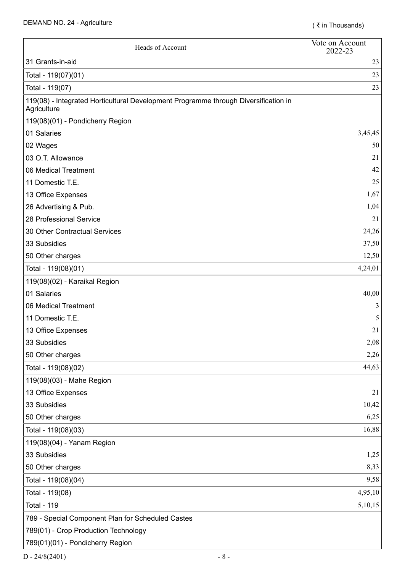| Heads of Account                                                                                   | Vote on Account<br>2022-23 |
|----------------------------------------------------------------------------------------------------|----------------------------|
| 31 Grants-in-aid                                                                                   | 23                         |
| Total - 119(07)(01)                                                                                | 23                         |
| Total - 119(07)                                                                                    | 23                         |
| 119(08) - Integrated Horticultural Development Programme through Diversification in<br>Agriculture |                            |
| 119(08)(01) - Pondicherry Region                                                                   |                            |
| 01 Salaries                                                                                        | 3,45,45                    |
| 02 Wages                                                                                           | 50                         |
| 03 O.T. Allowance                                                                                  | 21                         |
| 06 Medical Treatment                                                                               | 42                         |
| 11 Domestic T.E.                                                                                   | 25                         |
| 13 Office Expenses                                                                                 | 1,67                       |
| 26 Advertising & Pub.                                                                              | 1,04                       |
| 28 Professional Service                                                                            | 21                         |
| 30 Other Contractual Services                                                                      | 24,26                      |
| 33 Subsidies                                                                                       | 37,50                      |
| 50 Other charges                                                                                   | 12,50                      |
| Total - 119(08)(01)                                                                                | 4,24,01                    |
| 119(08)(02) - Karaikal Region                                                                      |                            |
| 01 Salaries                                                                                        | 40,00                      |
| 06 Medical Treatment                                                                               | 3                          |
| 11 Domestic T.E.                                                                                   | 5                          |
| 13 Office Expenses                                                                                 | 21                         |
| 33 Subsidies                                                                                       | 2,08                       |
| 50 Other charges                                                                                   | 2,26                       |
| Total - 119(08)(02)                                                                                | 44,63                      |
| 119(08)(03) - Mahe Region                                                                          |                            |
| 13 Office Expenses                                                                                 | 21                         |
| 33 Subsidies                                                                                       | 10,42                      |
| 50 Other charges                                                                                   | 6,25                       |
| Total - 119(08)(03)                                                                                | 16,88                      |
| 119(08)(04) - Yanam Region                                                                         |                            |
| 33 Subsidies                                                                                       | 1,25                       |
| 50 Other charges                                                                                   | 8,33                       |
| Total - 119(08)(04)                                                                                | 9,58                       |
| Total - 119(08)                                                                                    | 4,95,10                    |
| <b>Total - 119</b>                                                                                 | 5,10,15                    |
| 789 - Special Component Plan for Scheduled Castes                                                  |                            |
| 789(01) - Crop Production Technology                                                               |                            |
| 789(01)(01) - Pondicherry Region                                                                   |                            |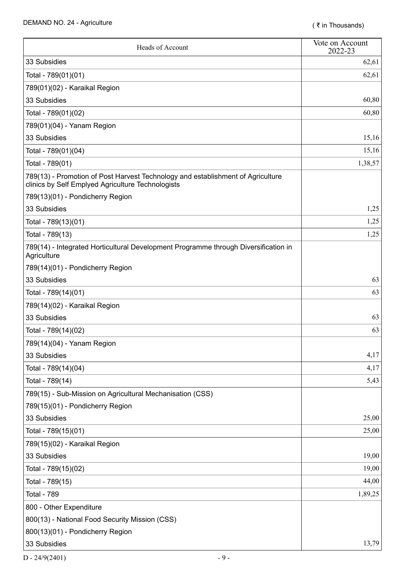| Heads of Account                                                                                                                     | Vote on Account<br>2022-23 |
|--------------------------------------------------------------------------------------------------------------------------------------|----------------------------|
| 33 Subsidies                                                                                                                         | 62,61                      |
| Total - 789(01)(01)                                                                                                                  | 62,61                      |
| 789(01)(02) - Karaikal Region                                                                                                        |                            |
| 33 Subsidies                                                                                                                         | 60,80                      |
| Total - 789(01)(02)                                                                                                                  | 60,80                      |
| 789(01)(04) - Yanam Region                                                                                                           |                            |
| 33 Subsidies                                                                                                                         | 15,16                      |
| Total - 789(01)(04)                                                                                                                  | 15,16                      |
| Total - 789(01)                                                                                                                      | 1,38,57                    |
| 789(13) - Promotion of Post Harvest Technology and establishment of Agriculture<br>clinics by Self Emplyed Agriculture Technologists |                            |
| 789(13)(01) - Pondicherry Region                                                                                                     |                            |
| 33 Subsidies                                                                                                                         | 1,25                       |
| Total - 789(13)(01)                                                                                                                  | 1,25                       |
| Total - 789(13)                                                                                                                      | 1,25                       |
| 789(14) - Integrated Horticultural Development Programme through Diversification in<br>Agriculture                                   |                            |
| 789(14)(01) - Pondicherry Region                                                                                                     |                            |
| 33 Subsidies                                                                                                                         | 63                         |
| Total - 789(14)(01)                                                                                                                  | 63                         |
| 789(14)(02) - Karaikal Region                                                                                                        |                            |
| 33 Subsidies                                                                                                                         | 63                         |
| Total - 789(14)(02)                                                                                                                  | 63                         |
| 789(14)(04) - Yanam Region                                                                                                           |                            |
| 33 Subsidies                                                                                                                         | 4,17                       |
| Total - 789(14)(04)                                                                                                                  | 4,17                       |
| Total - 789(14)                                                                                                                      | 5,43                       |
| 789(15) - Sub-Mission on Agricultural Mechanisation (CSS)                                                                            |                            |
| 789(15)(01) - Pondicherry Region                                                                                                     |                            |
| 33 Subsidies                                                                                                                         | 25,00                      |
| Total - 789(15)(01)                                                                                                                  | 25,00                      |
| 789(15)(02) - Karaikal Region                                                                                                        |                            |
| 33 Subsidies                                                                                                                         | 19,00                      |
| Total - 789(15)(02)                                                                                                                  | 19,00                      |
| Total - 789(15)                                                                                                                      | 44,00                      |
| <b>Total - 789</b>                                                                                                                   | 1,89,25                    |
| 800 - Other Expenditure                                                                                                              |                            |
| 800(13) - National Food Security Mission (CSS)                                                                                       |                            |
| 800(13)(01) - Pondicherry Region                                                                                                     |                            |
| 33 Subsidies                                                                                                                         | 13,79                      |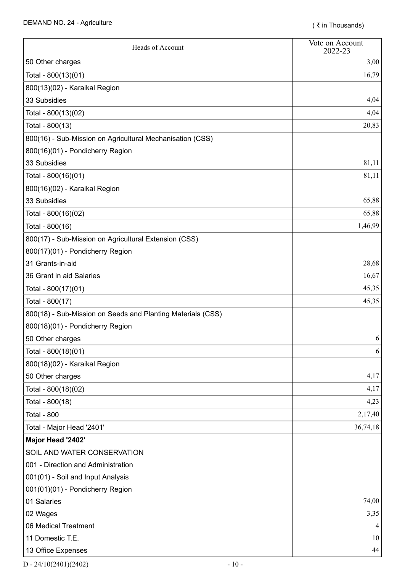| Heads of Account                                            | Vote on Account<br>2022-23 |
|-------------------------------------------------------------|----------------------------|
| 50 Other charges                                            | 3,00                       |
| Total - 800(13)(01)                                         | 16,79                      |
| 800(13)(02) - Karaikal Region                               |                            |
| 33 Subsidies                                                | 4,04                       |
| Total - 800(13)(02)                                         | 4,04                       |
| Total - 800(13)                                             | 20,83                      |
| 800(16) - Sub-Mission on Agricultural Mechanisation (CSS)   |                            |
| 800(16)(01) - Pondicherry Region                            |                            |
| 33 Subsidies                                                | 81,11                      |
| Total - 800(16)(01)                                         | 81,11                      |
| 800(16)(02) - Karaikal Region                               |                            |
| 33 Subsidies                                                | 65,88                      |
| Total - 800(16)(02)                                         | 65,88                      |
| Total - 800(16)                                             | 1,46,99                    |
| 800(17) - Sub-Mission on Agricultural Extension (CSS)       |                            |
| 800(17)(01) - Pondicherry Region                            |                            |
| 31 Grants-in-aid                                            | 28,68                      |
| 36 Grant in aid Salaries                                    | 16,67                      |
| Total - 800(17)(01)                                         | 45,35                      |
| Total - 800(17)                                             | 45,35                      |
| 800(18) - Sub-Mission on Seeds and Planting Materials (CSS) |                            |
| 800(18)(01) - Pondicherry Region                            |                            |
| 50 Other charges                                            | 6                          |
| Total - 800(18)(01)                                         | 6                          |
| 800(18)(02) - Karaikal Region                               |                            |
| 50 Other charges                                            | 4,17                       |
| Total - 800(18)(02)                                         | 4,17                       |
| Total - 800(18)                                             | 4,23                       |
| <b>Total - 800</b>                                          | 2,17,40                    |
| Total - Major Head '2401'                                   | 36,74,18                   |
| Major Head '2402'                                           |                            |
| SOIL AND WATER CONSERVATION                                 |                            |
| 001 - Direction and Administration                          |                            |
| 001(01) - Soil and Input Analysis                           |                            |
| 001(01)(01) - Pondicherry Region                            |                            |
| 01 Salaries                                                 | 74,00                      |
| 02 Wages                                                    | 3,35                       |
| 06 Medical Treatment                                        | $\overline{4}$             |
| 11 Domestic T.E.                                            | 10                         |
| 13 Office Expenses                                          | 44                         |

 $D - 24/10(2401)(2402)$  - 10 -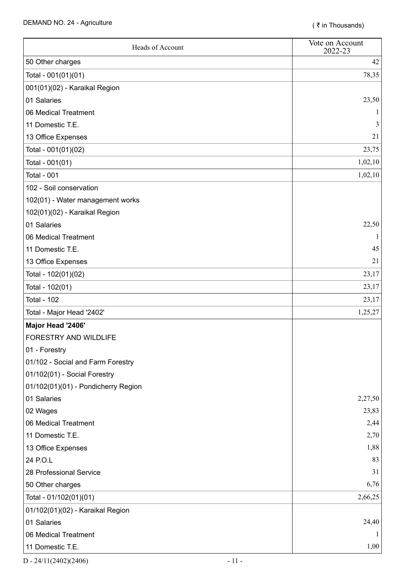| Heads of Account                    | Vote on Account<br>2022-23 |
|-------------------------------------|----------------------------|
| 50 Other charges                    | 42                         |
| Total - 001(01)(01)                 | 78,35                      |
| 001(01)(02) - Karaikal Region       |                            |
| 01 Salaries                         | 23,50                      |
| 06 Medical Treatment                |                            |
| 11 Domestic T.E.                    |                            |
| 13 Office Expenses                  | 21                         |
| Total - 001(01)(02)                 | 23,75                      |
| Total - 001(01)                     | 1,02,10                    |
| <b>Total - 001</b>                  | 1,02,10                    |
| 102 - Soil conservation             |                            |
| 102(01) - Water management works    |                            |
| 102(01)(02) - Karaikal Region       |                            |
| 01 Salaries                         | 22,50                      |
| 06 Medical Treatment                |                            |
| 11 Domestic T.E.                    | 45                         |
| 13 Office Expenses                  | 21                         |
| Total - 102(01)(02)                 | 23,17                      |
| Total - 102(01)                     | 23,17                      |
| <b>Total - 102</b>                  | 23,17                      |
| Total - Major Head '2402'           | 1,25,27                    |
| Major Head '2406'                   |                            |
| <b>FORESTRY AND WILDLIFE</b>        |                            |
| 01 - Forestry                       |                            |
| 01/102 - Social and Farm Forestry   |                            |
| 01/102(01) - Social Forestry        |                            |
| 01/102(01)(01) - Pondicherry Region |                            |
| 01 Salaries                         | 2,27,50                    |
| 02 Wages                            | 23,83                      |
| 06 Medical Treatment                | 2,44                       |
| 11 Domestic T.E.                    | 2,70                       |
| 13 Office Expenses                  | 1,88                       |
| 24 P.O.L                            | 83                         |
| 28 Professional Service             | 31                         |
| 50 Other charges                    | 6,76                       |
| Total - 01/102(01)(01)              | 2,66,25                    |
| 01/102(01)(02) - Karaikal Region    |                            |
| 01 Salaries                         | 24,40                      |
| 06 Medical Treatment                |                            |
| 11 Domestic T.E.                    | 1,00                       |

 $D - 24/11(2402)(2406)$  - 11 -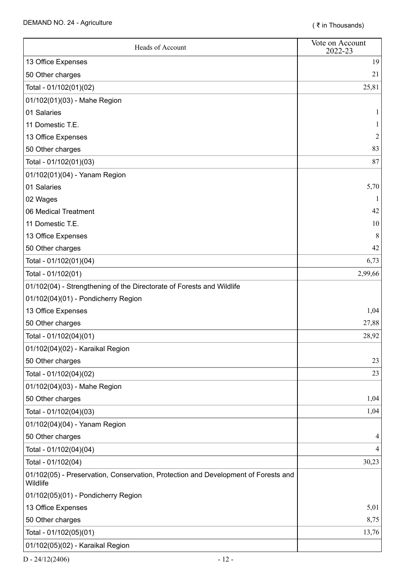| Heads of Account                                                                               | Vote on Account<br>2022-23 |
|------------------------------------------------------------------------------------------------|----------------------------|
| 13 Office Expenses                                                                             | 19                         |
| 50 Other charges                                                                               | 21                         |
| Total - 01/102(01)(02)                                                                         | 25,81                      |
| 01/102(01)(03) - Mahe Region                                                                   |                            |
| 01 Salaries                                                                                    |                            |
| 11 Domestic T.E.                                                                               |                            |
| 13 Office Expenses                                                                             |                            |
| 50 Other charges                                                                               | 83                         |
| Total - 01/102(01)(03)                                                                         | 87                         |
| 01/102(01)(04) - Yanam Region                                                                  |                            |
| 01 Salaries                                                                                    | 5,70                       |
| 02 Wages                                                                                       |                            |
| 06 Medical Treatment                                                                           | 42                         |
| 11 Domestic T.E.                                                                               | 10                         |
| 13 Office Expenses                                                                             | 8                          |
| 50 Other charges                                                                               | 42                         |
| Total - 01/102(01)(04)                                                                         | 6,73                       |
| Total - 01/102(01)                                                                             | 2,99,66                    |
| 01/102(04) - Strengthening of the Directorate of Forests and Wildlife                          |                            |
| 01/102(04)(01) - Pondicherry Region                                                            |                            |
| 13 Office Expenses                                                                             | 1,04                       |
| 50 Other charges                                                                               | 27,88                      |
| Total - 01/102(04)(01)                                                                         | 28,92                      |
| 01/102(04)(02) - Karaikal Region                                                               |                            |
| 50 Other charges                                                                               | 23                         |
| Total - 01/102(04)(02)                                                                         | 23                         |
| 01/102(04)(03) - Mahe Region                                                                   |                            |
| 50 Other charges                                                                               | 1,04                       |
| Total - 01/102(04)(03)                                                                         | 1,04                       |
| 01/102(04)(04) - Yanam Region                                                                  |                            |
| 50 Other charges                                                                               | 4                          |
| Total - 01/102(04)(04)                                                                         | 4                          |
| Total - 01/102(04)                                                                             | 30,23                      |
| 01/102(05) - Preservation, Conservation, Protection and Development of Forests and<br>Wildlife |                            |
| 01/102(05)(01) - Pondicherry Region                                                            |                            |
| 13 Office Expenses                                                                             | 5,01                       |
| 50 Other charges                                                                               | 8,75                       |
| Total - 01/102(05)(01)                                                                         | 13,76                      |
| 01/102(05)(02) - Karaikal Region                                                               |                            |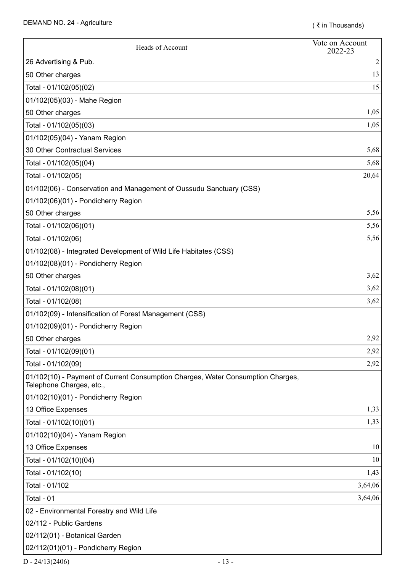| Heads of Account                                                                                            | Vote on Account<br>2022-23 |
|-------------------------------------------------------------------------------------------------------------|----------------------------|
| 26 Advertising & Pub.                                                                                       | $\overline{2}$             |
| 50 Other charges                                                                                            | 13                         |
| Total - 01/102(05)(02)                                                                                      | 15                         |
| 01/102(05)(03) - Mahe Region                                                                                |                            |
| 50 Other charges                                                                                            | 1,05                       |
| Total - 01/102(05)(03)                                                                                      | 1,05                       |
| 01/102(05)(04) - Yanam Region                                                                               |                            |
| 30 Other Contractual Services                                                                               | 5,68                       |
| Total - 01/102(05)(04)                                                                                      | 5,68                       |
| Total - 01/102(05)                                                                                          | 20,64                      |
| 01/102(06) - Conservation and Management of Oussudu Sanctuary (CSS)                                         |                            |
| 01/102(06)(01) - Pondicherry Region                                                                         |                            |
| 50 Other charges                                                                                            | 5,56                       |
| Total - 01/102(06)(01)                                                                                      | 5,56                       |
| Total - 01/102(06)                                                                                          | 5,56                       |
| 01/102(08) - Integrated Development of Wild Life Habitates (CSS)                                            |                            |
| 01/102(08)(01) - Pondicherry Region                                                                         |                            |
| 50 Other charges                                                                                            | 3,62                       |
| Total - 01/102(08)(01)                                                                                      | 3,62                       |
| Total - 01/102(08)                                                                                          | 3,62                       |
| 01/102(09) - Intensification of Forest Management (CSS)                                                     |                            |
| 01/102(09)(01) - Pondicherry Region                                                                         |                            |
| 50 Other charges                                                                                            | 2,92                       |
| Total - 01/102(09)(01)                                                                                      | 2,92                       |
| Total - 01/102(09)                                                                                          | 2,92                       |
| 01/102(10) - Payment of Current Consumption Charges, Water Consumption Charges,<br>Telephone Charges, etc., |                            |
| 01/102(10)(01) - Pondicherry Region                                                                         |                            |
| 13 Office Expenses                                                                                          | 1,33                       |
| Total - 01/102(10)(01)                                                                                      | 1,33                       |
| 01/102(10)(04) - Yanam Region                                                                               |                            |
| 13 Office Expenses                                                                                          | 10                         |
| Total - 01/102(10)(04)                                                                                      | 10                         |
| Total - 01/102(10)                                                                                          | 1,43                       |
| Total - 01/102                                                                                              | 3,64,06                    |
| Total - 01                                                                                                  | 3,64,06                    |
| 02 - Environmental Forestry and Wild Life                                                                   |                            |
| 02/112 - Public Gardens                                                                                     |                            |
| 02/112(01) - Botanical Garden                                                                               |                            |
| 02/112(01)(01) - Pondicherry Region                                                                         |                            |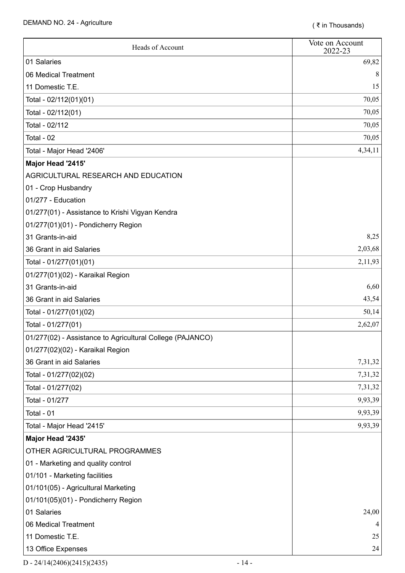| Heads of Account                                          | Vote on Account<br>2022-23 |
|-----------------------------------------------------------|----------------------------|
| 01 Salaries                                               | 69,82                      |
| 06 Medical Treatment                                      | 8                          |
| 11 Domestic T.E.                                          | 15                         |
| Total - 02/112(01)(01)                                    | 70,05                      |
| Total - 02/112(01)                                        | 70,05                      |
| Total - 02/112                                            | 70,05                      |
| Total - 02                                                | 70,05                      |
| Total - Major Head '2406'                                 | 4,34,11                    |
| Major Head '2415'                                         |                            |
| AGRICULTURAL RESEARCH AND EDUCATION                       |                            |
| 01 - Crop Husbandry                                       |                            |
| 01/277 - Education                                        |                            |
| 01/277(01) - Assistance to Krishi Vigyan Kendra           |                            |
| 01/277(01)(01) - Pondicherry Region                       |                            |
| 31 Grants-in-aid                                          | 8,25                       |
| 36 Grant in aid Salaries                                  | 2,03,68                    |
| Total - 01/277(01)(01)                                    | 2,11,93                    |
| 01/277(01)(02) - Karaikal Region                          |                            |
| 31 Grants-in-aid                                          | 6,60                       |
| 36 Grant in aid Salaries                                  | 43,54                      |
| Total - 01/277(01)(02)                                    | 50,14                      |
| Total - 01/277(01)                                        | 2,62,07                    |
| 01/277(02) - Assistance to Agricultural College (PAJANCO) |                            |
| 01/277(02)(02) - Karaikal Region                          |                            |
| 36 Grant in aid Salaries                                  | 7,31,32                    |
| Total - 01/277(02)(02)                                    | 7,31,32                    |
| Total - 01/277(02)                                        | 7,31,32                    |
| Total - 01/277                                            | 9,93,39                    |
| Total - 01                                                | 9,93,39                    |
| Total - Major Head '2415'                                 | 9,93,39                    |
| Major Head '2435'                                         |                            |
| OTHER AGRICULTURAL PROGRAMMES                             |                            |
| 01 - Marketing and quality control                        |                            |
| 01/101 - Marketing facilities                             |                            |
| 01/101(05) - Agricultural Marketing                       |                            |
| 01/101(05)(01) - Pondicherry Region                       |                            |
| 01 Salaries                                               | 24,00                      |
| 06 Medical Treatment                                      | 4                          |
| 11 Domestic T.E.                                          | 25                         |
| 13 Office Expenses                                        | 24                         |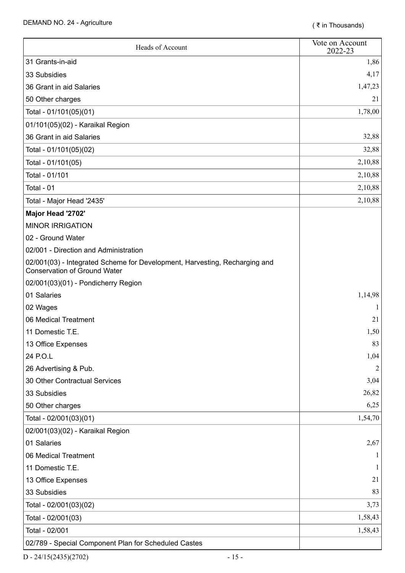| Heads of Account                                                                                                  | Vote on Account<br>2022-23 |
|-------------------------------------------------------------------------------------------------------------------|----------------------------|
| 31 Grants-in-aid                                                                                                  | 1,86                       |
| 33 Subsidies                                                                                                      | 4,17                       |
| 36 Grant in aid Salaries                                                                                          | 1,47,23                    |
| 50 Other charges                                                                                                  | 21                         |
| Total - 01/101(05)(01)                                                                                            | 1,78,00                    |
| 01/101(05)(02) - Karaikal Region                                                                                  |                            |
| 36 Grant in aid Salaries                                                                                          | 32,88                      |
| Total - 01/101(05)(02)                                                                                            | 32,88                      |
| Total - 01/101(05)                                                                                                | 2,10,88                    |
| Total - 01/101                                                                                                    | 2,10,88                    |
| Total - 01                                                                                                        | 2,10,88                    |
| Total - Major Head '2435'                                                                                         | 2,10,88                    |
| Major Head '2702'                                                                                                 |                            |
| <b>MINOR IRRIGATION</b>                                                                                           |                            |
| 02 - Ground Water                                                                                                 |                            |
| 02/001 - Direction and Administration                                                                             |                            |
| 02/001(03) - Integrated Scheme for Development, Harvesting, Recharging and<br><b>Conservation of Ground Water</b> |                            |
| 02/001(03)(01) - Pondicherry Region                                                                               |                            |
| 01 Salaries                                                                                                       | 1,14,98                    |
| 02 Wages                                                                                                          |                            |
| 06 Medical Treatment                                                                                              | 21                         |
| 11 Domestic T.E.                                                                                                  | 1,50                       |
| 13 Office Expenses                                                                                                | 83                         |
| 24 P.O.L                                                                                                          | 1,04                       |
| 26 Advertising & Pub.                                                                                             | 2                          |
| 30 Other Contractual Services                                                                                     | 3,04                       |
| 33 Subsidies                                                                                                      | 26,82                      |
| 50 Other charges                                                                                                  | 6,25                       |
| Total - 02/001(03)(01)                                                                                            | 1,54,70                    |
| 02/001(03)(02) - Karaikal Region                                                                                  |                            |
| 01 Salaries                                                                                                       | 2,67                       |
| 06 Medical Treatment                                                                                              |                            |
| 11 Domestic T.E.                                                                                                  |                            |
| 13 Office Expenses                                                                                                | 21                         |
| 33 Subsidies                                                                                                      | 83                         |
| Total - 02/001(03)(02)                                                                                            | 3,73                       |
| Total - 02/001(03)                                                                                                | 1,58,43                    |
| Total - 02/001                                                                                                    | 1,58,43                    |
| 02/789 - Special Component Plan for Scheduled Castes                                                              |                            |

 $D - 24/15(2435)(2702)$  - 15 -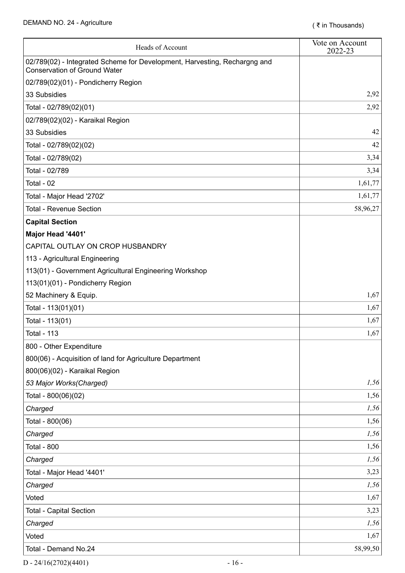| Heads of Account                                                                                                 | Vote on Account<br>2022-23 |
|------------------------------------------------------------------------------------------------------------------|----------------------------|
| 02/789(02) - Integrated Scheme for Development, Harvesting, Rechargng and<br><b>Conservation of Ground Water</b> |                            |
| 02/789(02)(01) - Pondicherry Region                                                                              |                            |
| 33 Subsidies                                                                                                     | 2,92                       |
| Total - 02/789(02)(01)                                                                                           | 2,92                       |
| 02/789(02)(02) - Karaikal Region                                                                                 |                            |
| 33 Subsidies                                                                                                     | 42                         |
| Total - 02/789(02)(02)                                                                                           | 42                         |
| Total - 02/789(02)                                                                                               | 3,34                       |
| Total - 02/789                                                                                                   | 3,34                       |
| Total - 02                                                                                                       | 1,61,77                    |
| Total - Major Head '2702'                                                                                        | 1,61,77                    |
| <b>Total - Revenue Section</b>                                                                                   | 58,96,27                   |
| <b>Capital Section</b>                                                                                           |                            |
| Major Head '4401'                                                                                                |                            |
| CAPITAL OUTLAY ON CROP HUSBANDRY                                                                                 |                            |
| 113 - Agricultural Engineering                                                                                   |                            |
| 113(01) - Government Agricultural Engineering Workshop                                                           |                            |
| 113(01)(01) - Pondicherry Region                                                                                 |                            |
| 52 Machinery & Equip.                                                                                            | 1,67                       |
| Total - 113(01)(01)                                                                                              | 1,67                       |
| Total - 113(01)                                                                                                  | 1,67                       |
| <b>Total - 113</b>                                                                                               | 1,67                       |
| 800 - Other Expenditure                                                                                          |                            |
| 800(06) - Acquisition of land for Agriculture Department                                                         |                            |
| 800(06)(02) - Karaikal Region                                                                                    |                            |
| 53 Major Works(Charged)                                                                                          | 1,56                       |
| Total - 800(06)(02)                                                                                              | 1,56                       |
| Charged                                                                                                          | 1,56                       |
| Total - 800(06)                                                                                                  | 1,56                       |
| Charged                                                                                                          | 1,56                       |
| <b>Total - 800</b>                                                                                               | 1,56                       |
| Charged                                                                                                          | 1,56                       |
| Total - Major Head '4401'                                                                                        | 3,23                       |
| Charged                                                                                                          | 1,56                       |
| Voted                                                                                                            | 1,67                       |
| <b>Total - Capital Section</b>                                                                                   | 3,23                       |
| Charged                                                                                                          | 1,56                       |
| Voted                                                                                                            | 1,67                       |
| Total - Demand No.24                                                                                             | 58,99,50                   |

 $D - 24/16(2702)(4401)$  - 16 -